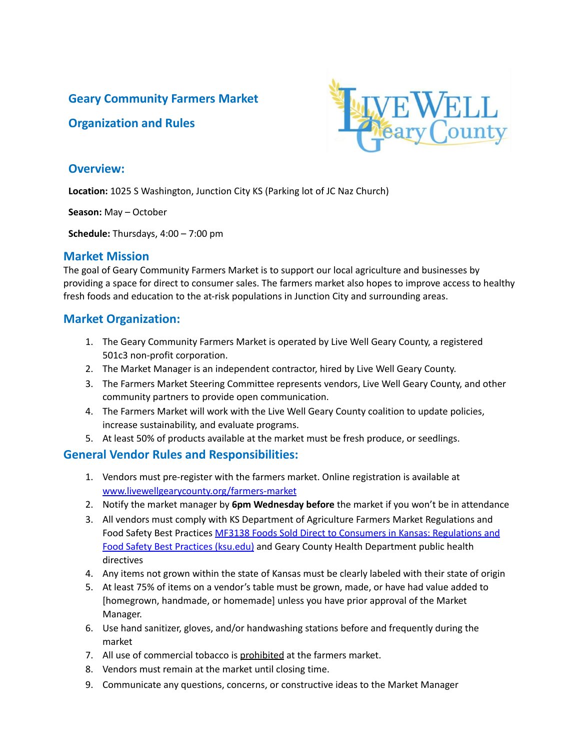## **Geary Community Farmers Market**

### **Organization and Rules**



#### **Overview:**

**Location:** 1025 S Washington, Junction City KS (Parking lot of JC Naz Church)

**Season:** May – October

**Schedule:** Thursdays, 4:00 – 7:00 pm

### **Market Mission**

The goal of Geary Community Farmers Market is to support our local agriculture and businesses by providing a space for direct to consumer sales. The farmers market also hopes to improve access to healthy fresh foods and education to the at-risk populations in Junction City and surrounding areas.

## **Market Organization:**

- 1. The Geary Community Farmers Market is operated by Live Well Geary County, a registered 501c3 non-profit corporation.
- 2. The Market Manager is an independent contractor, hired by Live Well Geary County.
- 3. The Farmers Market Steering Committee represents vendors, Live Well Geary County, and other community partners to provide open communication.
- 4. The Farmers Market will work with the Live Well Geary County coalition to update policies, increase sustainability, and evaluate programs.
- 5. At least 50% of products available at the market must be fresh produce, or seedlings.

### **General Vendor Rules and Responsibilities:**

- 1. Vendors must pre-register with the farmers market. Online registration is available at [www.livewellgearycounty.org/farmers-market](http://www.livewellgearycounty.org/farmers-market)
- 2. Notify the market manager by **6pm Wednesday before** the market if you won't be in attendance
- 3. All vendors must comply with KS Department of Agriculture Farmers Market Regulations and Food Safety Best Practices MF3138 Foods Sold Direct to Consumers in Kansas: [Regulations](https://bookstore.ksre.ksu.edu/pubs/MF3138.pdf) and Food Safety Best Practices [\(ksu.edu\)](https://bookstore.ksre.ksu.edu/pubs/MF3138.pdf) and Geary County Health Department public health directives
- 4. Any items not grown within the state of Kansas must be clearly labeled with their state of origin
- 5. At least 75% of items on a vendor's table must be grown, made, or have had value added to [homegrown, handmade, or homemade] unless you have prior approval of the Market Manager.
- 6. Use hand sanitizer, gloves, and/or handwashing stations before and frequently during the market
- 7. All use of commercial tobacco is prohibited at the farmers market.
- 8. Vendors must remain at the market until closing time.
- 9. Communicate any questions, concerns, or constructive ideas to the Market Manager